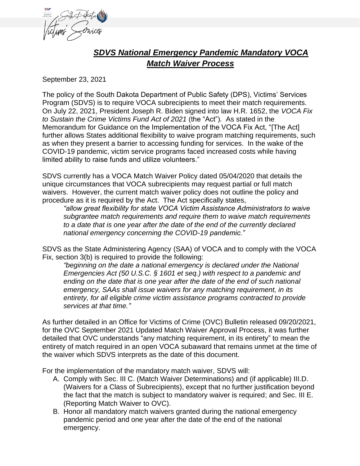

## *SDVS National Emergency Pandemic Mandatory VOCA Match Waiver Process*

September 23, 2021

The policy of the South Dakota Department of Public Safety (DPS), Victims' Services Program (SDVS) is to require VOCA subrecipients to meet their match requirements. On July 22, 2021, President Joseph R. Biden signed into law H.R. 1652, the *VOCA Fix to Sustain the Crime Victims Fund Act of 2021* (the "Act")*.* As stated in the Memorandum for Guidance on the Implementation of the VOCA Fix Act, "[The Act] further allows States additional flexibility to waive program matching requirements, such as when they present a barrier to accessing funding for services. In the wake of the COVID-19 pandemic, victim service programs faced increased costs while having limited ability to raise funds and utilize volunteers."

SDVS currently has a VOCA Match Waiver Policy dated 05/04/2020 that details the unique circumstances that VOCA subrecipients may request partial or full match waivers. However, the current match waiver policy does not outline the policy and procedure as it is required by the Act. The Act specifically states,

*"allow great flexibility for state VOCA Victim Assistance Administrators to waive subgrantee match requirements and require them to waive match requirements to a date that is one year after the date of the end of the currently declared national emergency concerning the COVID-19 pandemic."* 

SDVS as the State Administering Agency (SAA) of VOCA and to comply with the VOCA Fix, section 3(b) is required to provide the following:

*"beginning on the date a national emergency is declared under the National Emergencies Act (50 U.S.C. § 1601 et seq.) with respect to a pandemic and ending on the date that is one year after the date of the end of such national emergency, SAAs shall issue waivers for any matching requirement, in its entirety, for all eligible crime victim assistance programs contracted to provide services at that time."*

As further detailed in an Office for Victims of Crime (OVC) Bulletin released 09/20/2021, for the OVC September 2021 Updated Match Waiver Approval Process, it was further detailed that OVC understands "any matching requirement, in its entirety" to mean the entirety of match required in an open VOCA subaward that remains unmet at the time of the waiver which SDVS interprets as the date of this document.

For the implementation of the mandatory match waiver, SDVS will:

- A. Comply with Sec. III C. (Match Waiver Determinations) and (if applicable) III.D. (Waivers for a Class of Subrecipients), except that no further justification beyond the fact that the match is subject to mandatory waiver is required; and Sec. III E. (Reporting Match Waiver to OVC).
- B. Honor all mandatory match waivers granted during the national emergency pandemic period and one year after the date of the end of the national emergency.